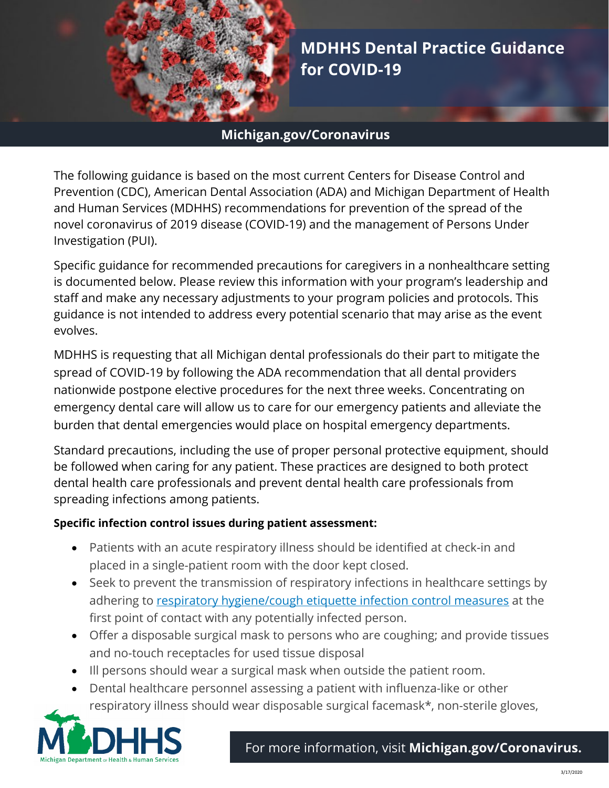

**MDHHS Dental Practice Guidance for COVID-19** 

## **Michigan.gov/Coronavirus**

The following guidance is based on the most current Centers for Disease Control and Prevention (CDC), American Dental Association (ADA) and Michigan Department of Health and Human Services (MDHHS) recommendations for prevention of the spread of the novel coronavirus of 2019 disease (COVID-19) and the management of Persons Under Investigation (PUI).

Specific guidance for recommended precautions for caregivers in a nonhealthcare setting is documented below. Please review this information with your program's leadership and staff and make any necessary adjustments to your program policies and protocols. This guidance is not intended to address every potential scenario that may arise as the event evolves.

MDHHS is requesting that all Michigan dental professionals do their part to mitigate the spread of COVID-19 by following the ADA recommendation that all dental providers nationwide postpone elective procedures for the next three weeks. Concentrating on emergency dental care will allow us to care for our emergency patients and alleviate the burden that dental emergencies would place on hospital emergency departments.

Standard precautions, including the use of proper personal protective equipment, should be followed when caring for any patient. These practices are designed to both protect dental health care professionals and prevent dental health care professionals from spreading infections among patients.

## **Specific infection control issues during patient assessment:**

- Patients with an acute respiratory illness should be identified at check-in and placed in a single-patient room with the door kept closed.
- Seek to prevent the transmission of respiratory infections in healthcare settings by adhering to [respiratory hygiene/cough etiquette infection control measures](https://www.cdc.gov/flu/professionals/infectioncontrol/resphygiene.htm) at the first point of contact with any potentially infected person.
- Offer a disposable surgical mask to persons who are coughing; and provide tissues and no-touch receptacles for used tissue disposal
- Ill persons should wear a surgical mask when outside the patient room.
- Dental healthcare personnel assessing a patient with influenza-like or other respiratory illness should wear disposable surgical facemask\*, non-sterile gloves,